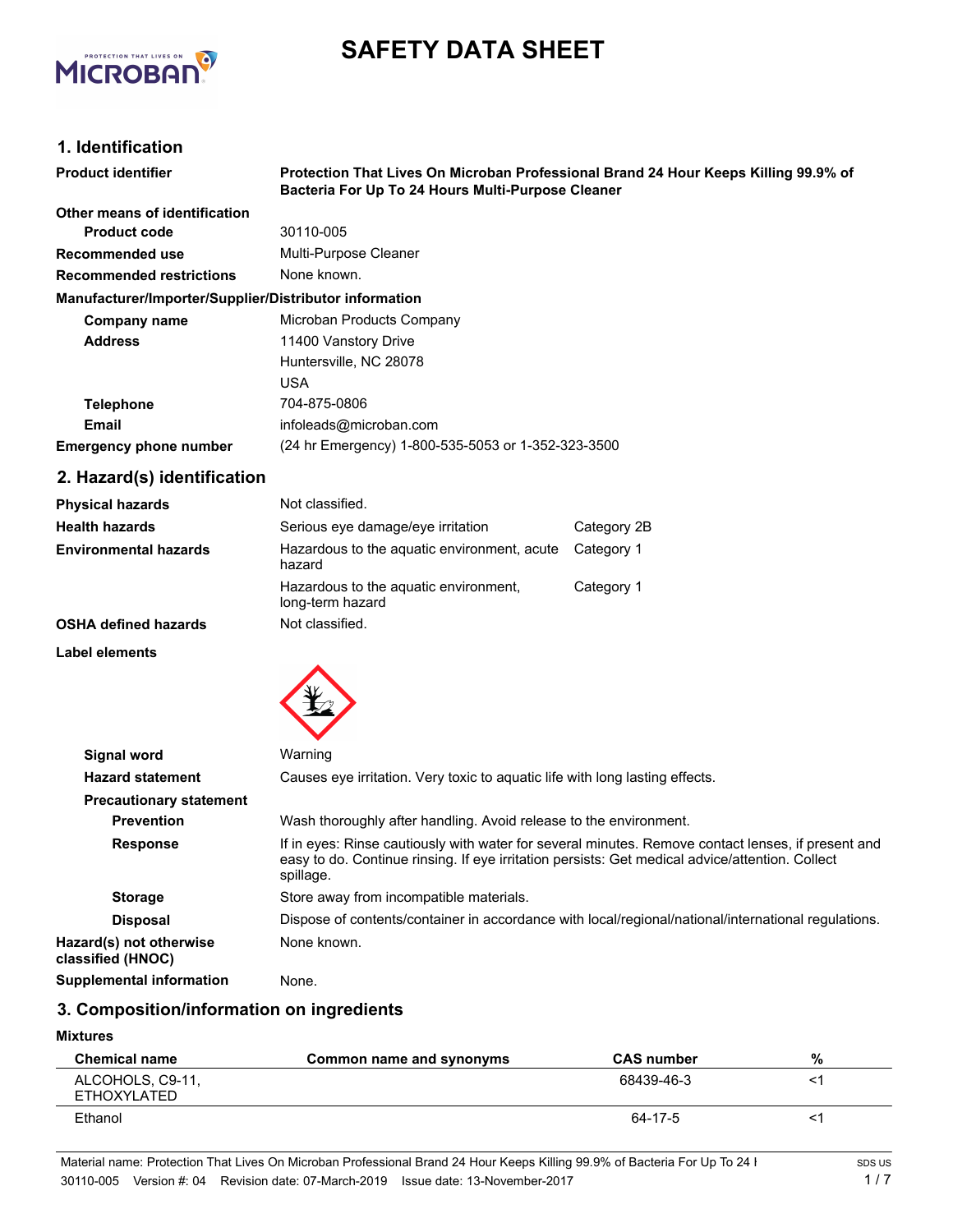

# **SAFETY DATA SHEET**

# **1. Identification**

| <b>Product identifier</b>                              | Protection That Lives On Microban Professional Brand 24 Hour Keeps Killing 99.9% of<br>Bacteria For Up To 24 Hours Multi-Purpose Cleaner |
|--------------------------------------------------------|------------------------------------------------------------------------------------------------------------------------------------------|
| Other means of identification                          |                                                                                                                                          |
| <b>Product code</b>                                    | 30110-005                                                                                                                                |
| Recommended use                                        | Multi-Purpose Cleaner                                                                                                                    |
| <b>Recommended restrictions</b>                        | None known.                                                                                                                              |
| Manufacturer/Importer/Supplier/Distributor information |                                                                                                                                          |
| Company name                                           | Microban Products Company                                                                                                                |
| <b>Address</b>                                         | 11400 Vanstory Drive                                                                                                                     |
|                                                        | Huntersville, NC 28078                                                                                                                   |
|                                                        | USA                                                                                                                                      |
| <b>Telephone</b>                                       | 704-875-0806                                                                                                                             |
| Email                                                  | infoleads@microban.com                                                                                                                   |
| <b>Emergency phone number</b>                          | (24 hr Emergency) 1-800-535-5053 or 1-352-323-3500                                                                                       |

# **2. Hazard(s) identification**

| <b>Physical hazards</b>      | Not classified.                                           |             |
|------------------------------|-----------------------------------------------------------|-------------|
| <b>Health hazards</b>        | Serious eye damage/eye irritation                         | Category 2B |
| <b>Environmental hazards</b> | Hazardous to the aquatic environment, acute<br>hazard     | Category 1  |
|                              | Hazardous to the aquatic environment,<br>long-term hazard | Category 1  |
| <b>OSHA defined hazards</b>  | Not classified.                                           |             |

**Label elements**



| Signal word                                  | Warning                                                                                                                                                                                                            |
|----------------------------------------------|--------------------------------------------------------------------------------------------------------------------------------------------------------------------------------------------------------------------|
| <b>Hazard statement</b>                      | Causes eye irritation. Very toxic to aquatic life with long lasting effects.                                                                                                                                       |
| <b>Precautionary statement</b>               |                                                                                                                                                                                                                    |
| <b>Prevention</b>                            | Wash thoroughly after handling. Avoid release to the environment.                                                                                                                                                  |
| <b>Response</b>                              | If in eyes: Rinse cautiously with water for several minutes. Remove contact lenses, if present and<br>easy to do. Continue rinsing. If eye irritation persists: Get medical advice/attention. Collect<br>spillage. |
| <b>Storage</b>                               | Store away from incompatible materials.                                                                                                                                                                            |
| <b>Disposal</b>                              | Dispose of contents/container in accordance with local/regional/national/international regulations.                                                                                                                |
| Hazard(s) not otherwise<br>classified (HNOC) | None known.                                                                                                                                                                                                        |
| <b>Supplemental information</b>              | None.                                                                                                                                                                                                              |

# **3. Composition/information on ingredients**

## **Mixtures**

| <b>Chemical name</b>            | Common name and synonyms | <b>CAS number</b> | %  |
|---------------------------------|--------------------------|-------------------|----|
| ALCOHOLS, C9-11,<br>ETHOXYLATED |                          | 68439-46-3        | <′ |
| Ethanol                         |                          | 64-17-5           |    |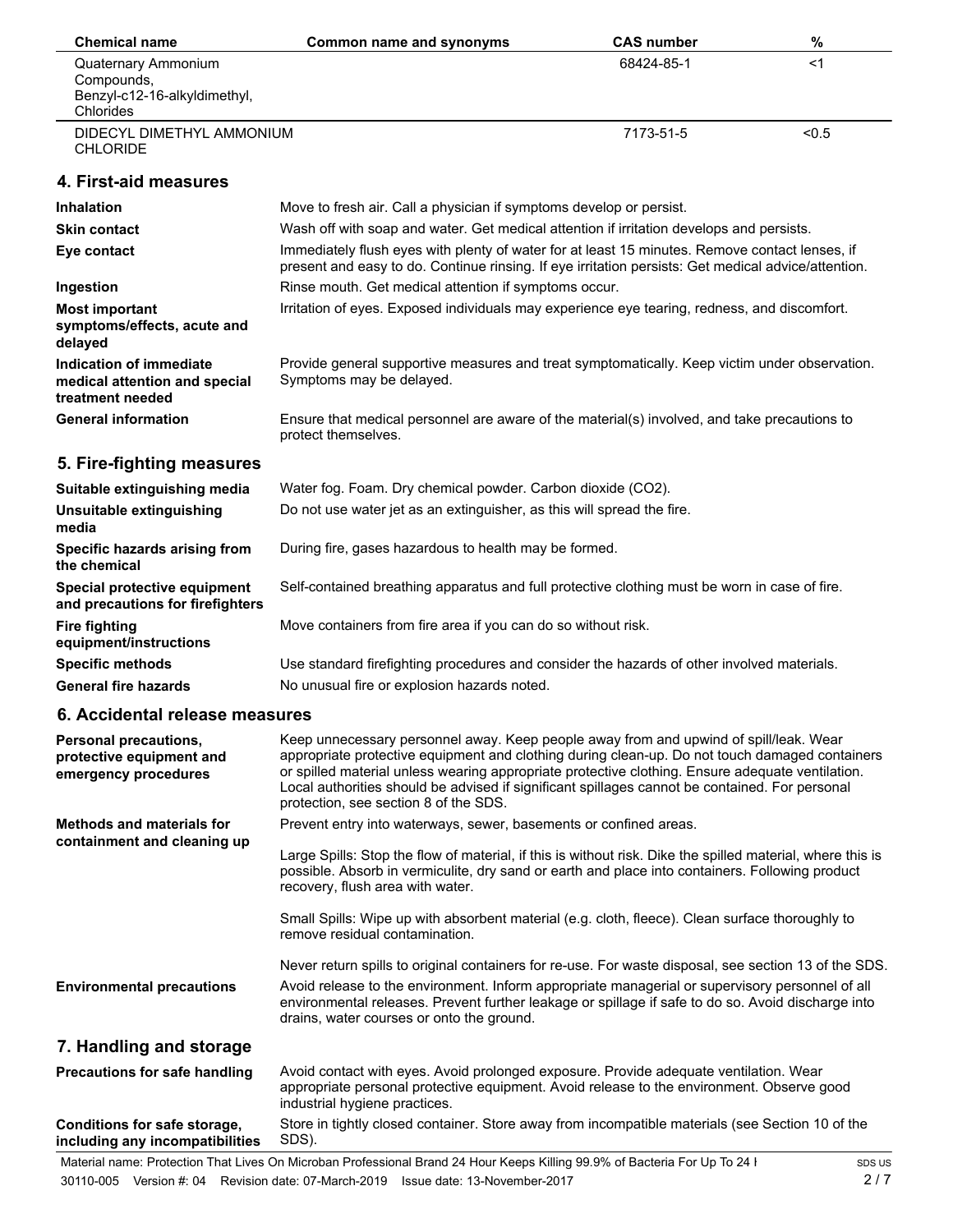| <b>Chemical name</b>                                                         | Common name and synonyms                                                                                                                                                                                                                                                                                                                                                                                                               | <b>CAS number</b> | $\%$  |
|------------------------------------------------------------------------------|----------------------------------------------------------------------------------------------------------------------------------------------------------------------------------------------------------------------------------------------------------------------------------------------------------------------------------------------------------------------------------------------------------------------------------------|-------------------|-------|
| <b>Quaternary Ammonium</b><br>Compounds,<br>Benzyl-c12-16-alkyldimethyl,     |                                                                                                                                                                                                                                                                                                                                                                                                                                        | 68424-85-1        | $<$ 1 |
| Chlorides                                                                    |                                                                                                                                                                                                                                                                                                                                                                                                                                        |                   |       |
| DIDECYL DIMETHYL AMMONIUM<br><b>CHLORIDE</b>                                 |                                                                                                                                                                                                                                                                                                                                                                                                                                        | 7173-51-5         | < 0.5 |
| 4. First-aid measures                                                        |                                                                                                                                                                                                                                                                                                                                                                                                                                        |                   |       |
| <b>Inhalation</b>                                                            | Move to fresh air. Call a physician if symptoms develop or persist.                                                                                                                                                                                                                                                                                                                                                                    |                   |       |
| <b>Skin contact</b>                                                          | Wash off with soap and water. Get medical attention if irritation develops and persists.                                                                                                                                                                                                                                                                                                                                               |                   |       |
| Eye contact                                                                  | Immediately flush eyes with plenty of water for at least 15 minutes. Remove contact lenses, if<br>present and easy to do. Continue rinsing. If eye irritation persists: Get medical advice/attention.                                                                                                                                                                                                                                  |                   |       |
| Ingestion                                                                    | Rinse mouth. Get medical attention if symptoms occur.                                                                                                                                                                                                                                                                                                                                                                                  |                   |       |
| <b>Most important</b><br>symptoms/effects, acute and<br>delayed              | Irritation of eyes. Exposed individuals may experience eye tearing, redness, and discomfort.                                                                                                                                                                                                                                                                                                                                           |                   |       |
| Indication of immediate<br>medical attention and special<br>treatment needed | Provide general supportive measures and treat symptomatically. Keep victim under observation.<br>Symptoms may be delayed.                                                                                                                                                                                                                                                                                                              |                   |       |
| <b>General information</b>                                                   | Ensure that medical personnel are aware of the material(s) involved, and take precautions to<br>protect themselves.                                                                                                                                                                                                                                                                                                                    |                   |       |
| 5. Fire-fighting measures                                                    |                                                                                                                                                                                                                                                                                                                                                                                                                                        |                   |       |
| Suitable extinguishing media                                                 | Water fog. Foam. Dry chemical powder. Carbon dioxide (CO2).                                                                                                                                                                                                                                                                                                                                                                            |                   |       |
| Unsuitable extinguishing<br>media                                            | Do not use water jet as an extinguisher, as this will spread the fire.                                                                                                                                                                                                                                                                                                                                                                 |                   |       |
| Specific hazards arising from<br>the chemical                                | During fire, gases hazardous to health may be formed.                                                                                                                                                                                                                                                                                                                                                                                  |                   |       |
| Special protective equipment<br>and precautions for firefighters             | Self-contained breathing apparatus and full protective clothing must be worn in case of fire.                                                                                                                                                                                                                                                                                                                                          |                   |       |
| <b>Fire fighting</b><br>equipment/instructions                               | Move containers from fire area if you can do so without risk.                                                                                                                                                                                                                                                                                                                                                                          |                   |       |
| <b>Specific methods</b>                                                      | Use standard firefighting procedures and consider the hazards of other involved materials.                                                                                                                                                                                                                                                                                                                                             |                   |       |
| <b>General fire hazards</b>                                                  | No unusual fire or explosion hazards noted.                                                                                                                                                                                                                                                                                                                                                                                            |                   |       |
| 6. Accidental release measures                                               |                                                                                                                                                                                                                                                                                                                                                                                                                                        |                   |       |
| Personal precautions,<br>protective equipment and<br>emergency procedures    | Keep unnecessary personnel away. Keep people away from and upwind of spill/leak. Wear<br>appropriate protective equipment and clothing during clean-up. Do not touch damaged containers<br>or spilled material unless wearing appropriate protective clothing. Ensure adequate ventilation.<br>Local authorities should be advised if significant spillages cannot be contained. For personal<br>protection, see section 8 of the SDS. |                   |       |
| <b>Methods and materials for</b>                                             | Prevent entry into waterways, sewer, basements or confined areas.                                                                                                                                                                                                                                                                                                                                                                      |                   |       |
| containment and cleaning up                                                  | Large Spills: Stop the flow of material, if this is without risk. Dike the spilled material, where this is<br>possible. Absorb in vermiculite, dry sand or earth and place into containers. Following product<br>recovery, flush area with water.                                                                                                                                                                                      |                   |       |
|                                                                              | Small Spills: Wipe up with absorbent material (e.g. cloth, fleece). Clean surface thoroughly to<br>remove residual contamination.                                                                                                                                                                                                                                                                                                      |                   |       |
|                                                                              | Never return spills to original containers for re-use. For waste disposal, see section 13 of the SDS.                                                                                                                                                                                                                                                                                                                                  |                   |       |
| <b>Environmental precautions</b>                                             | Avoid release to the environment. Inform appropriate managerial or supervisory personnel of all<br>environmental releases. Prevent further leakage or spillage if safe to do so. Avoid discharge into<br>drains, water courses or onto the ground.                                                                                                                                                                                     |                   |       |
| 7. Handling and storage                                                      |                                                                                                                                                                                                                                                                                                                                                                                                                                        |                   |       |
| Precautions for safe handling                                                | Avoid contact with eyes. Avoid prolonged exposure. Provide adequate ventilation. Wear<br>appropriate personal protective equipment. Avoid release to the environment. Observe good<br>industrial hygiene practices.                                                                                                                                                                                                                    |                   |       |
| Conditions for safe storage,                                                 | Store in tightly closed container. Store away from incompatible materials (see Section 10 of the                                                                                                                                                                                                                                                                                                                                       |                   |       |

**including any incompatibilities**

SDS).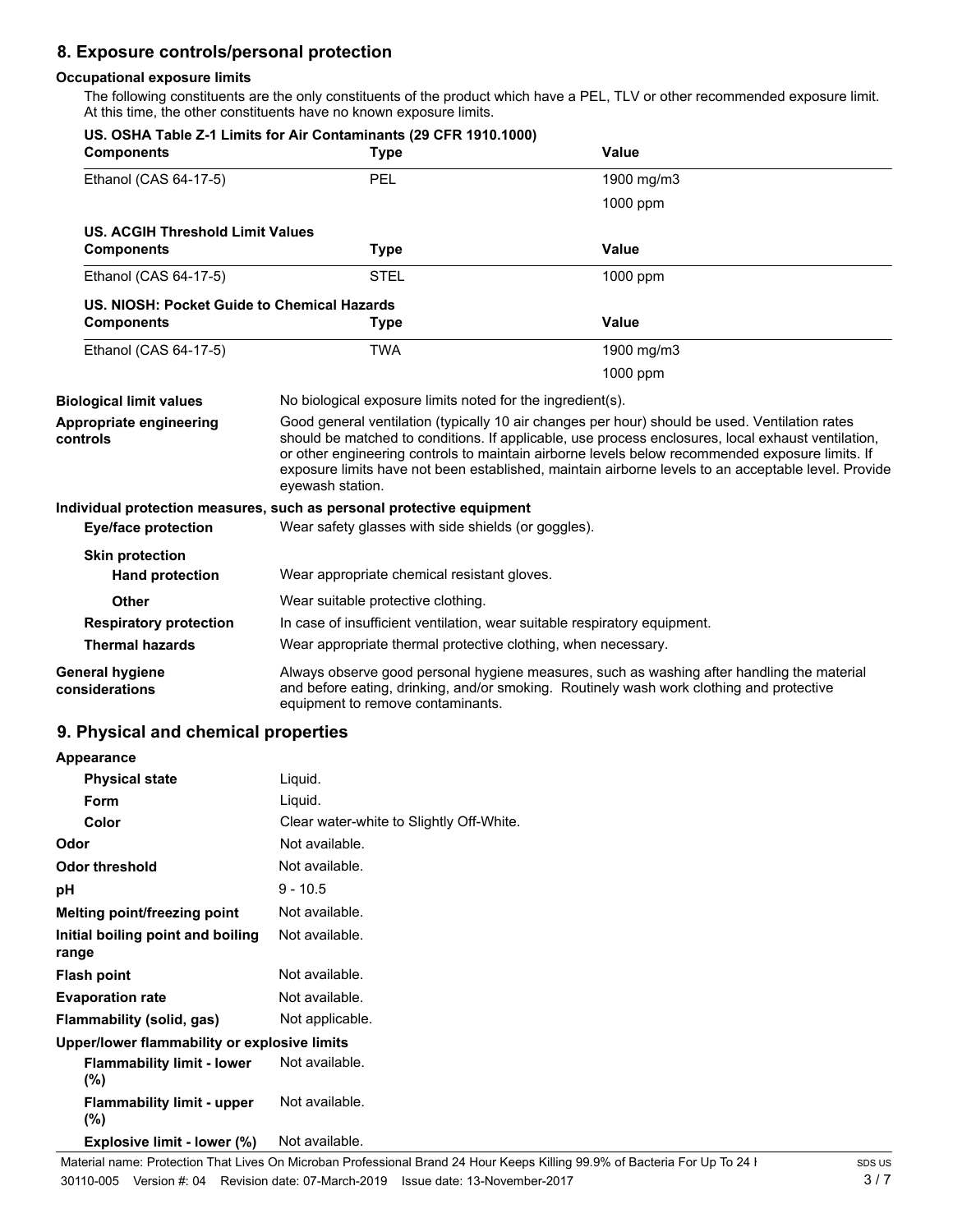# **8. Exposure controls/personal protection**

## **Occupational exposure limits**

The following constituents are the only constituents of the product which have a PEL, TLV or other recommended exposure limit. At this time, the other constituents have no known exposure limits.

| <b>Components</b>                           | US. OSHA Table Z-1 Limits for Air Contaminants (29 CFR 1910.1000)<br><b>Type</b> | Value                                                                                                                                                                                                                                                                                                                                                                                                          |
|---------------------------------------------|----------------------------------------------------------------------------------|----------------------------------------------------------------------------------------------------------------------------------------------------------------------------------------------------------------------------------------------------------------------------------------------------------------------------------------------------------------------------------------------------------------|
| Ethanol (CAS 64-17-5)                       | <b>PEL</b>                                                                       | 1900 mg/m3                                                                                                                                                                                                                                                                                                                                                                                                     |
|                                             |                                                                                  | 1000 ppm                                                                                                                                                                                                                                                                                                                                                                                                       |
| <b>US. ACGIH Threshold Limit Values</b>     |                                                                                  |                                                                                                                                                                                                                                                                                                                                                                                                                |
| <b>Components</b>                           | <b>Type</b>                                                                      | Value                                                                                                                                                                                                                                                                                                                                                                                                          |
| Ethanol (CAS 64-17-5)                       | <b>STEL</b>                                                                      | 1000 ppm                                                                                                                                                                                                                                                                                                                                                                                                       |
| US. NIOSH: Pocket Guide to Chemical Hazards |                                                                                  |                                                                                                                                                                                                                                                                                                                                                                                                                |
| <b>Components</b>                           | <b>Type</b>                                                                      | Value                                                                                                                                                                                                                                                                                                                                                                                                          |
| Ethanol (CAS 64-17-5)                       | <b>TWA</b>                                                                       | 1900 mg/m3                                                                                                                                                                                                                                                                                                                                                                                                     |
|                                             |                                                                                  | 1000 ppm                                                                                                                                                                                                                                                                                                                                                                                                       |
| <b>Biological limit values</b>              | No biological exposure limits noted for the ingredient(s).                       |                                                                                                                                                                                                                                                                                                                                                                                                                |
| Appropriate engineering<br>controls         | eyewash station.                                                                 | Good general ventilation (typically 10 air changes per hour) should be used. Ventilation rates<br>should be matched to conditions. If applicable, use process enclosures, local exhaust ventilation,<br>or other engineering controls to maintain airborne levels below recommended exposure limits. If<br>exposure limits have not been established, maintain airborne levels to an acceptable level. Provide |
|                                             | Individual protection measures, such as personal protective equipment            |                                                                                                                                                                                                                                                                                                                                                                                                                |
| <b>Eye/face protection</b>                  | Wear safety glasses with side shields (or goggles).                              |                                                                                                                                                                                                                                                                                                                                                                                                                |
| <b>Skin protection</b>                      |                                                                                  |                                                                                                                                                                                                                                                                                                                                                                                                                |
| <b>Hand protection</b>                      | Wear appropriate chemical resistant gloves.                                      |                                                                                                                                                                                                                                                                                                                                                                                                                |
| <b>Other</b>                                | Wear suitable protective clothing.                                               |                                                                                                                                                                                                                                                                                                                                                                                                                |
| <b>Respiratory protection</b>               | In case of insufficient ventilation, wear suitable respiratory equipment.        |                                                                                                                                                                                                                                                                                                                                                                                                                |
| <b>Thermal hazards</b>                      | Wear appropriate thermal protective clothing, when necessary.                    |                                                                                                                                                                                                                                                                                                                                                                                                                |
| <b>General hygiene</b><br>considerations    | equipment to remove contaminants.                                                | Always observe good personal hygiene measures, such as washing after handling the material<br>and before eating, drinking, and/or smoking. Routinely wash work clothing and protective                                                                                                                                                                                                                         |

## **9. Physical and chemical properties**

| Appearance                                   |                                          |
|----------------------------------------------|------------------------------------------|
| <b>Physical state</b>                        | Liquid.                                  |
| <b>Form</b>                                  | Liquid.                                  |
| Color                                        | Clear water-white to Slightly Off-White. |
| Odor                                         | Not available.                           |
| <b>Odor threshold</b>                        | Not available.                           |
| рH                                           | $9 - 10.5$                               |
| Melting point/freezing point                 | Not available.                           |
| Initial boiling point and boiling<br>range   | Not available.                           |
| <b>Flash point</b>                           | Not available.                           |
| <b>Evaporation rate</b>                      | Not available.                           |
| Flammability (solid, gas)                    | Not applicable.                          |
| Upper/lower flammability or explosive limits |                                          |
| <b>Flammability limit - lower</b><br>$(\% )$ | Not available.                           |
| <b>Flammability limit - upper</b><br>$(\%)$  | Not available.                           |
| Explosive limit - lower (%)                  | Not available.                           |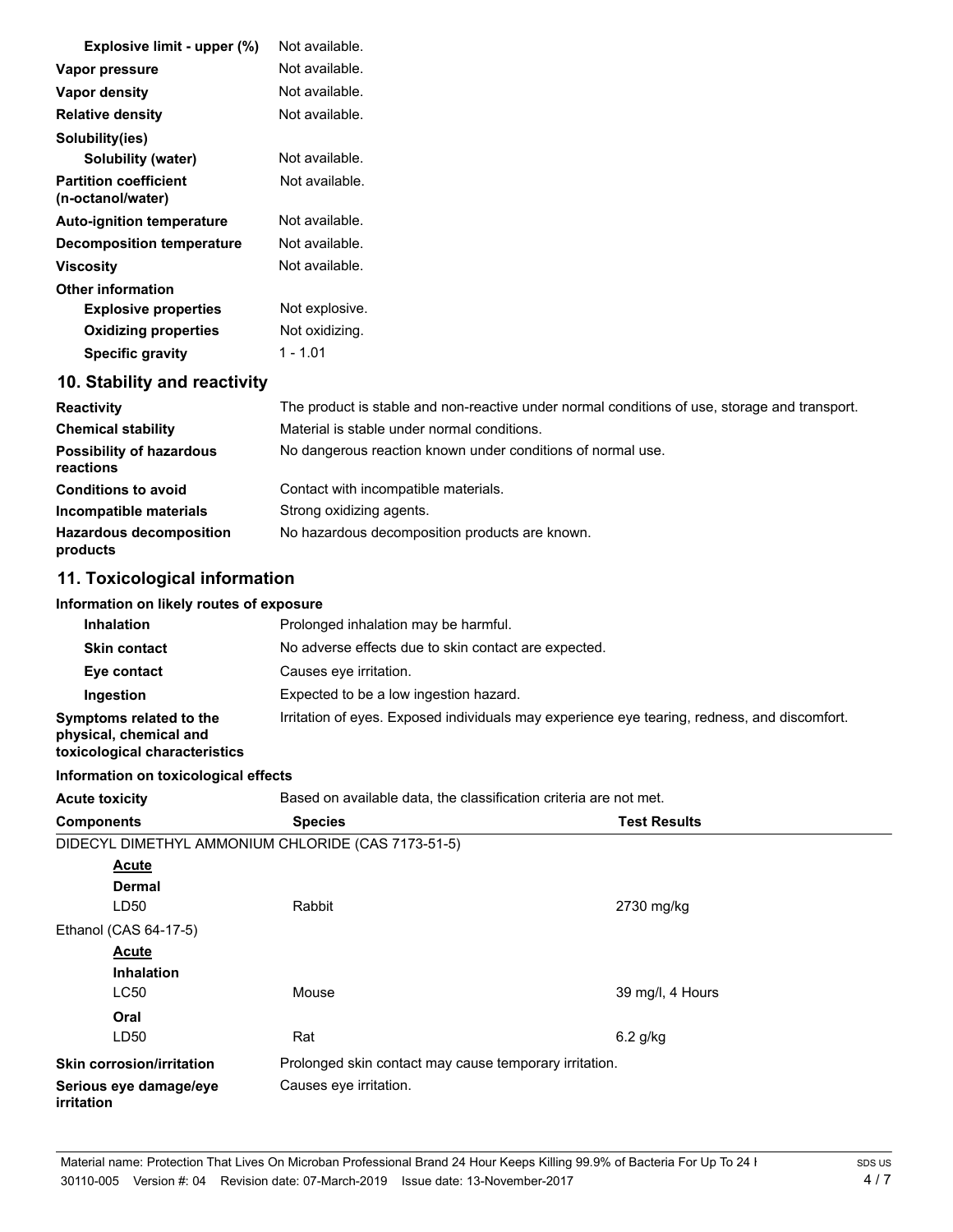| Explosive limit - upper (%)                       | Not available.                                                                                |
|---------------------------------------------------|-----------------------------------------------------------------------------------------------|
| Vapor pressure                                    | Not available.                                                                                |
| Vapor density                                     | Not available.                                                                                |
| <b>Relative density</b>                           | Not available.                                                                                |
| Solubility(ies)                                   |                                                                                               |
| <b>Solubility (water)</b>                         | Not available.                                                                                |
| <b>Partition coefficient</b><br>(n-octanol/water) | Not available.                                                                                |
| <b>Auto-ignition temperature</b>                  | Not available.                                                                                |
| Decomposition temperature                         | Not available.                                                                                |
| <b>Viscosity</b>                                  | Not available.                                                                                |
| <b>Other information</b>                          |                                                                                               |
| <b>Explosive properties</b>                       | Not explosive.                                                                                |
| <b>Oxidizing properties</b>                       | Not oxidizing.                                                                                |
| <b>Specific gravity</b>                           | $1 - 1.01$                                                                                    |
| 10. Stability and reactivity                      |                                                                                               |
| <b>Reactivity</b>                                 | The product is stable and non-reactive under normal conditions of use, storage and transport. |
| <b>Chemical stability</b>                         | Material is stable under normal conditions.                                                   |
| <b>Possibility of hazardous</b>                   | No dangerous reaction known under conditions of normal use.                                   |

| reactions                                  |                                                |
|--------------------------------------------|------------------------------------------------|
| <b>Conditions to avoid</b>                 | Contact with incompatible materials.           |
| Incompatible materials                     | Strong oxidizing agents.                       |
| <b>Hazardous decomposition</b><br>products | No hazardous decomposition products are known. |

## **11. Toxicological information**

## **Information on likely routes of exposure**

| <b>Inhalation</b>                                                                  | Prolonged inhalation may be harmful.                                                         |
|------------------------------------------------------------------------------------|----------------------------------------------------------------------------------------------|
| <b>Skin contact</b>                                                                | No adverse effects due to skin contact are expected.                                         |
| Eye contact                                                                        | Causes eye irritation.                                                                       |
| Ingestion                                                                          | Expected to be a low ingestion hazard.                                                       |
| Symptoms related to the<br>physical, chemical and<br>toxicological characteristics | Irritation of eyes. Exposed individuals may experience eye tearing, redness, and discomfort. |

#### **Information on toxicological effects**

Acute toxicity **Based on available data, the classification criteria are not met. Components Species Test Results** DIDECYL DIMETHYL AMMONIUM CHLORIDE (CAS 7173-51-5) **Dermal Acute** LD50 Rabbit 2730 mg/kg Ethanol (CAS 64-17-5) **Inhalation Acute** LC50 Mouse Mouse 39 mg/l, 4 Hours **Oral** LD50 Rat 6.2 g/kg **Skin corrosion/irritation** Prolonged skin contact may cause temporary irritation. **Serious eye damage/eye** Causes eye irritation. **irritation**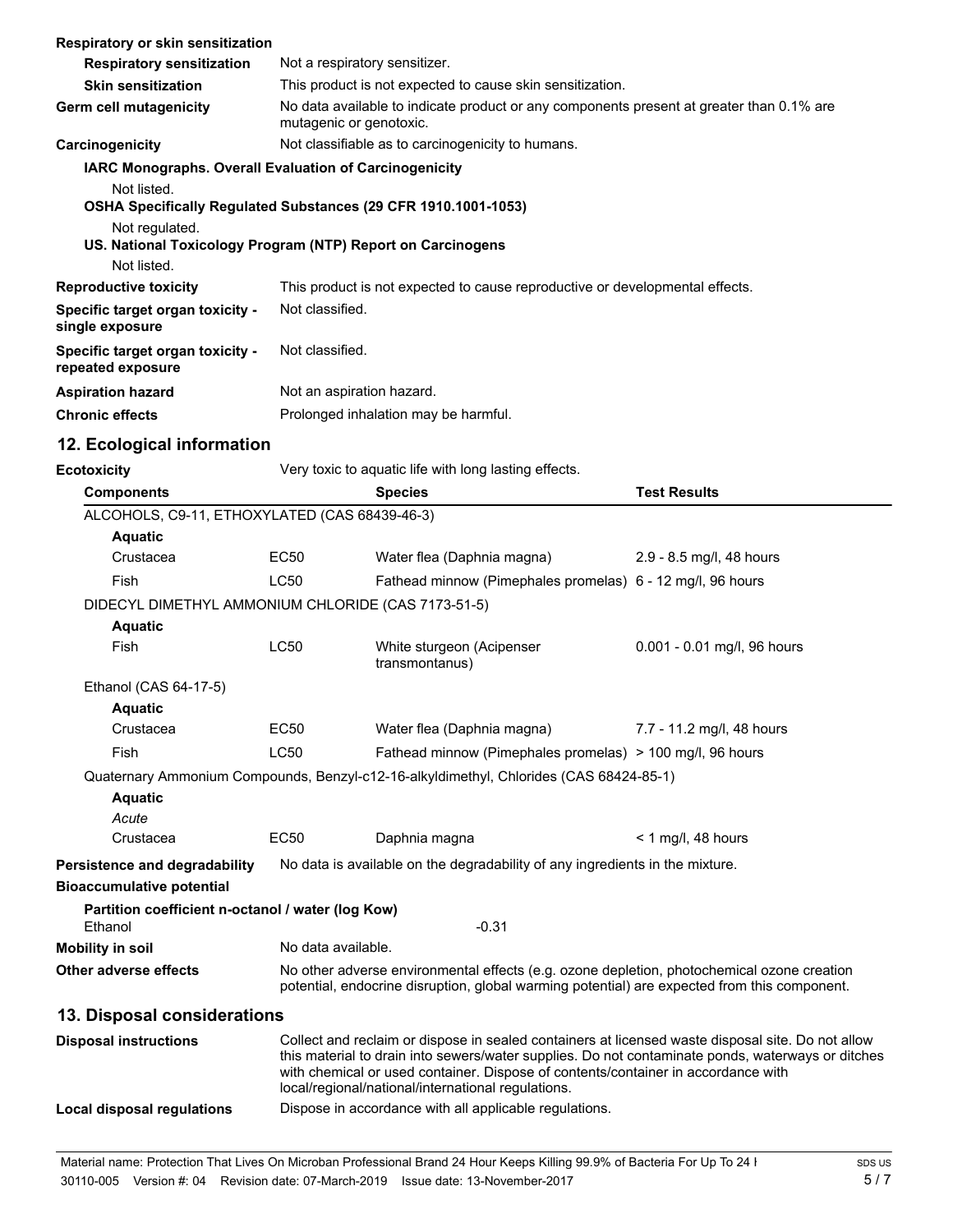| Respiratory or skin sensitization                                                            |                                                                                                                                                                                                                                                                                                                                                   |                                                                                        |                             |
|----------------------------------------------------------------------------------------------|---------------------------------------------------------------------------------------------------------------------------------------------------------------------------------------------------------------------------------------------------------------------------------------------------------------------------------------------------|----------------------------------------------------------------------------------------|-----------------------------|
| <b>Respiratory sensitization</b>                                                             | Not a respiratory sensitizer.                                                                                                                                                                                                                                                                                                                     |                                                                                        |                             |
| <b>Skin sensitization</b>                                                                    | This product is not expected to cause skin sensitization.                                                                                                                                                                                                                                                                                         |                                                                                        |                             |
| Germ cell mutagenicity                                                                       | No data available to indicate product or any components present at greater than 0.1% are<br>mutagenic or genotoxic.                                                                                                                                                                                                                               |                                                                                        |                             |
| Carcinogenicity                                                                              | Not classifiable as to carcinogenicity to humans.                                                                                                                                                                                                                                                                                                 |                                                                                        |                             |
| IARC Monographs. Overall Evaluation of Carcinogenicity                                       |                                                                                                                                                                                                                                                                                                                                                   |                                                                                        |                             |
| Not listed.<br>OSHA Specifically Regulated Substances (29 CFR 1910.1001-1053)                |                                                                                                                                                                                                                                                                                                                                                   |                                                                                        |                             |
| Not regulated.<br>US. National Toxicology Program (NTP) Report on Carcinogens<br>Not listed. |                                                                                                                                                                                                                                                                                                                                                   |                                                                                        |                             |
| <b>Reproductive toxicity</b>                                                                 |                                                                                                                                                                                                                                                                                                                                                   | This product is not expected to cause reproductive or developmental effects.           |                             |
| Specific target organ toxicity -<br>single exposure                                          | Not classified.                                                                                                                                                                                                                                                                                                                                   |                                                                                        |                             |
| Specific target organ toxicity -<br>repeated exposure                                        | Not classified.                                                                                                                                                                                                                                                                                                                                   |                                                                                        |                             |
| <b>Aspiration hazard</b>                                                                     | Not an aspiration hazard.                                                                                                                                                                                                                                                                                                                         |                                                                                        |                             |
| <b>Chronic effects</b>                                                                       |                                                                                                                                                                                                                                                                                                                                                   | Prolonged inhalation may be harmful.                                                   |                             |
| 12. Ecological information                                                                   |                                                                                                                                                                                                                                                                                                                                                   |                                                                                        |                             |
| <b>Ecotoxicity</b>                                                                           |                                                                                                                                                                                                                                                                                                                                                   | Very toxic to aquatic life with long lasting effects.                                  |                             |
| <b>Components</b>                                                                            |                                                                                                                                                                                                                                                                                                                                                   | <b>Species</b>                                                                         | <b>Test Results</b>         |
| ALCOHOLS, C9-11, ETHOXYLATED (CAS 68439-46-3)                                                |                                                                                                                                                                                                                                                                                                                                                   |                                                                                        |                             |
| <b>Aquatic</b>                                                                               |                                                                                                                                                                                                                                                                                                                                                   |                                                                                        |                             |
| Crustacea                                                                                    | <b>EC50</b>                                                                                                                                                                                                                                                                                                                                       | Water flea (Daphnia magna)                                                             | 2.9 - 8.5 mg/l, 48 hours    |
| Fish                                                                                         | <b>LC50</b>                                                                                                                                                                                                                                                                                                                                       | Fathead minnow (Pimephales promelas) 6 - 12 mg/l, 96 hours                             |                             |
| DIDECYL DIMETHYL AMMONIUM CHLORIDE (CAS 7173-51-5)<br><b>Aquatic</b>                         |                                                                                                                                                                                                                                                                                                                                                   |                                                                                        |                             |
| Fish                                                                                         | LC50                                                                                                                                                                                                                                                                                                                                              | White sturgeon (Acipenser<br>transmontanus)                                            | 0.001 - 0.01 mg/l, 96 hours |
| Ethanol (CAS 64-17-5)                                                                        |                                                                                                                                                                                                                                                                                                                                                   |                                                                                        |                             |
| <b>Aquatic</b>                                                                               |                                                                                                                                                                                                                                                                                                                                                   |                                                                                        |                             |
| Crustacea                                                                                    | EC50                                                                                                                                                                                                                                                                                                                                              | Water flea (Daphnia magna)                                                             | 7.7 - 11.2 mg/l, 48 hours   |
| Fish                                                                                         | LC50                                                                                                                                                                                                                                                                                                                                              | Fathead minnow (Pimephales promelas) > 100 mg/l, 96 hours                              |                             |
|                                                                                              |                                                                                                                                                                                                                                                                                                                                                   | Quaternary Ammonium Compounds, Benzyl-c12-16-alkyldimethyl, Chlorides (CAS 68424-85-1) |                             |
| <b>Aquatic</b>                                                                               |                                                                                                                                                                                                                                                                                                                                                   |                                                                                        |                             |
| Acute                                                                                        |                                                                                                                                                                                                                                                                                                                                                   |                                                                                        |                             |
| Crustacea                                                                                    | <b>EC50</b>                                                                                                                                                                                                                                                                                                                                       | Daphnia magna                                                                          | $<$ 1 mg/l, 48 hours        |
| Persistence and degradability<br><b>Bioaccumulative potential</b>                            |                                                                                                                                                                                                                                                                                                                                                   | No data is available on the degradability of any ingredients in the mixture.           |                             |
| Partition coefficient n-octanol / water (log Kow)                                            |                                                                                                                                                                                                                                                                                                                                                   |                                                                                        |                             |
| Ethanol                                                                                      |                                                                                                                                                                                                                                                                                                                                                   | $-0.31$                                                                                |                             |
| <b>Mobility in soil</b>                                                                      | No data available.                                                                                                                                                                                                                                                                                                                                |                                                                                        |                             |
| Other adverse effects                                                                        | No other adverse environmental effects (e.g. ozone depletion, photochemical ozone creation<br>potential, endocrine disruption, global warming potential) are expected from this component.                                                                                                                                                        |                                                                                        |                             |
| 13. Disposal considerations                                                                  |                                                                                                                                                                                                                                                                                                                                                   |                                                                                        |                             |
| <b>Disposal instructions</b>                                                                 | Collect and reclaim or dispose in sealed containers at licensed waste disposal site. Do not allow<br>this material to drain into sewers/water supplies. Do not contaminate ponds, waterways or ditches<br>with chemical or used container. Dispose of contents/container in accordance with<br>local/regional/national/international regulations. |                                                                                        |                             |
| <b>Local disposal regulations</b>                                                            |                                                                                                                                                                                                                                                                                                                                                   | Dispose in accordance with all applicable regulations.                                 |                             |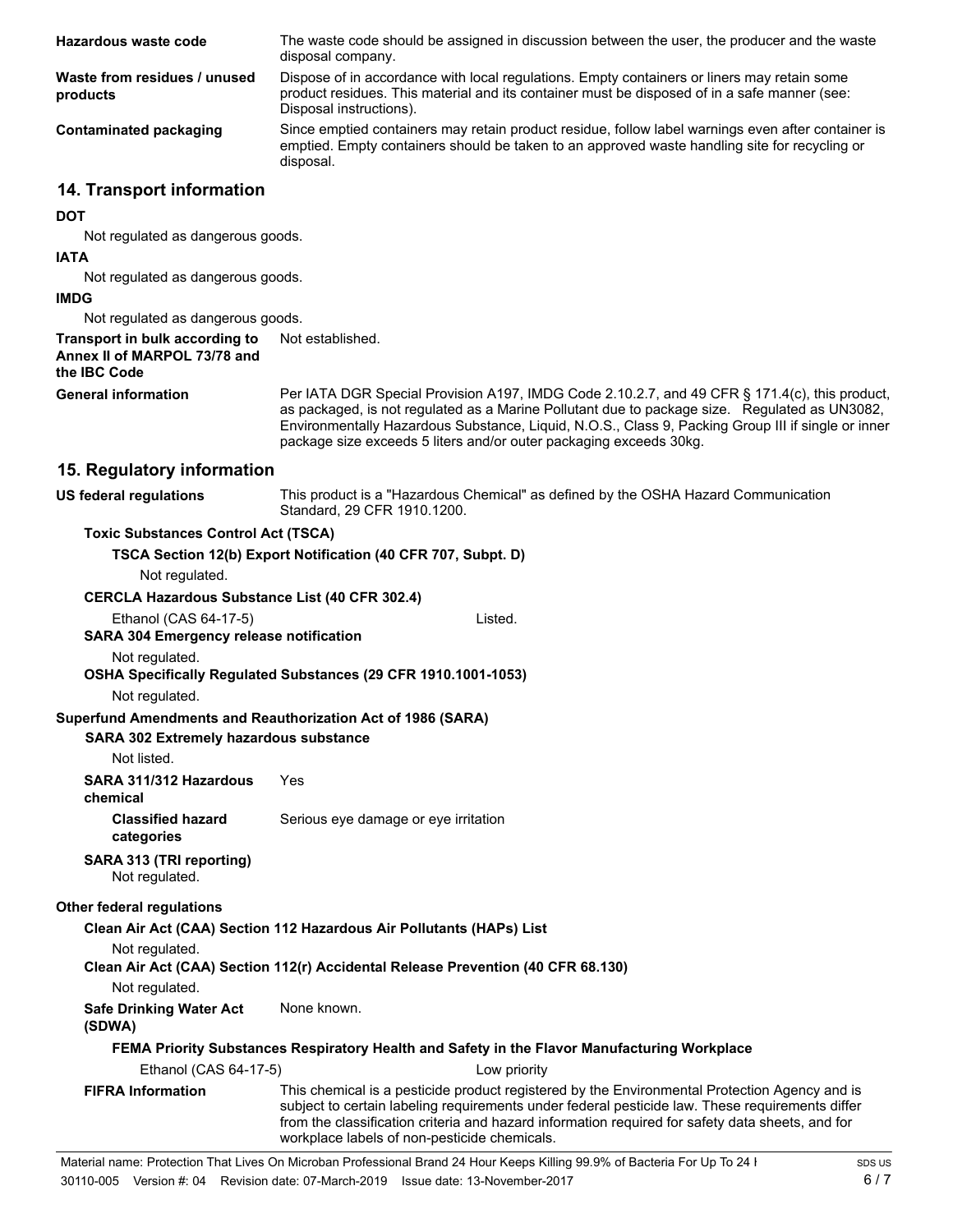| Hazardous waste code                                                                                         | The waste code should be assigned in discussion between the user, the producer and the waste<br>disposal company.                                                                                                                                                                                                                                                          |  |  |
|--------------------------------------------------------------------------------------------------------------|----------------------------------------------------------------------------------------------------------------------------------------------------------------------------------------------------------------------------------------------------------------------------------------------------------------------------------------------------------------------------|--|--|
| Waste from residues / unused<br>products                                                                     | Dispose of in accordance with local regulations. Empty containers or liners may retain some<br>product residues. This material and its container must be disposed of in a safe manner (see:<br>Disposal instructions).                                                                                                                                                     |  |  |
| <b>Contaminated packaging</b>                                                                                | Since emptied containers may retain product residue, follow label warnings even after container is<br>emptied. Empty containers should be taken to an approved waste handling site for recycling or<br>disposal.                                                                                                                                                           |  |  |
| 14. Transport information                                                                                    |                                                                                                                                                                                                                                                                                                                                                                            |  |  |
| <b>DOT</b>                                                                                                   |                                                                                                                                                                                                                                                                                                                                                                            |  |  |
| Not regulated as dangerous goods.                                                                            |                                                                                                                                                                                                                                                                                                                                                                            |  |  |
| <b>IATA</b>                                                                                                  |                                                                                                                                                                                                                                                                                                                                                                            |  |  |
| Not regulated as dangerous goods.<br><b>IMDG</b>                                                             |                                                                                                                                                                                                                                                                                                                                                                            |  |  |
| Not regulated as dangerous goods.                                                                            |                                                                                                                                                                                                                                                                                                                                                                            |  |  |
| Transport in bulk according to<br>Annex II of MARPOL 73/78 and<br>the IBC Code                               | Not established.                                                                                                                                                                                                                                                                                                                                                           |  |  |
| <b>General information</b>                                                                                   | Per IATA DGR Special Provision A197, IMDG Code 2.10.2.7, and 49 CFR § 171.4(c), this product,<br>as packaged, is not regulated as a Marine Pollutant due to package size. Regulated as UN3082,<br>Environmentally Hazardous Substance, Liquid, N.O.S., Class 9, Packing Group III if single or inner<br>package size exceeds 5 liters and/or outer packaging exceeds 30kg. |  |  |
| 15. Regulatory information                                                                                   |                                                                                                                                                                                                                                                                                                                                                                            |  |  |
| <b>US federal regulations</b>                                                                                | This product is a "Hazardous Chemical" as defined by the OSHA Hazard Communication<br>Standard, 29 CFR 1910.1200.                                                                                                                                                                                                                                                          |  |  |
| <b>Toxic Substances Control Act (TSCA)</b>                                                                   |                                                                                                                                                                                                                                                                                                                                                                            |  |  |
|                                                                                                              | TSCA Section 12(b) Export Notification (40 CFR 707, Subpt. D)                                                                                                                                                                                                                                                                                                              |  |  |
| Not regulated.                                                                                               |                                                                                                                                                                                                                                                                                                                                                                            |  |  |
| <b>CERCLA Hazardous Substance List (40 CFR 302.4)</b>                                                        |                                                                                                                                                                                                                                                                                                                                                                            |  |  |
| Ethanol (CAS 64-17-5)<br><b>SARA 304 Emergency release notification</b>                                      | Listed.                                                                                                                                                                                                                                                                                                                                                                    |  |  |
| Not regulated.                                                                                               |                                                                                                                                                                                                                                                                                                                                                                            |  |  |
| Not regulated.                                                                                               | OSHA Specifically Regulated Substances (29 CFR 1910.1001-1053)                                                                                                                                                                                                                                                                                                             |  |  |
| Superfund Amendments and Reauthorization Act of 1986 (SARA)<br><b>SARA 302 Extremely hazardous substance</b> |                                                                                                                                                                                                                                                                                                                                                                            |  |  |
| Not listed.                                                                                                  |                                                                                                                                                                                                                                                                                                                                                                            |  |  |
| SARA 311/312 Hazardous<br>chemical                                                                           | Yes                                                                                                                                                                                                                                                                                                                                                                        |  |  |
| <b>Classified hazard</b><br>categories                                                                       | Serious eye damage or eye irritation                                                                                                                                                                                                                                                                                                                                       |  |  |
| SARA 313 (TRI reporting)<br>Not regulated.                                                                   |                                                                                                                                                                                                                                                                                                                                                                            |  |  |
| Other federal regulations                                                                                    |                                                                                                                                                                                                                                                                                                                                                                            |  |  |
|                                                                                                              | Clean Air Act (CAA) Section 112 Hazardous Air Pollutants (HAPs) List                                                                                                                                                                                                                                                                                                       |  |  |
| Not regulated.                                                                                               | Clean Air Act (CAA) Section 112(r) Accidental Release Prevention (40 CFR 68.130)                                                                                                                                                                                                                                                                                           |  |  |
| Not regulated.                                                                                               |                                                                                                                                                                                                                                                                                                                                                                            |  |  |
| <b>Safe Drinking Water Act</b><br>(SDWA)                                                                     | None known.                                                                                                                                                                                                                                                                                                                                                                |  |  |
|                                                                                                              | FEMA Priority Substances Respiratory Health and Safety in the Flavor Manufacturing Workplace                                                                                                                                                                                                                                                                               |  |  |
| Ethanol (CAS 64-17-5)                                                                                        | Low priority                                                                                                                                                                                                                                                                                                                                                               |  |  |
| <b>FIFRA Information</b>                                                                                     | This chemical is a pesticide product registered by the Environmental Protection Agency and is<br>subject to certain labeling requirements under federal pesticide law. These requirements differ<br>from the classification criteria and hazard information required for safety data sheets, and for                                                                       |  |  |

workplace labels of non-pesticide chemicals.